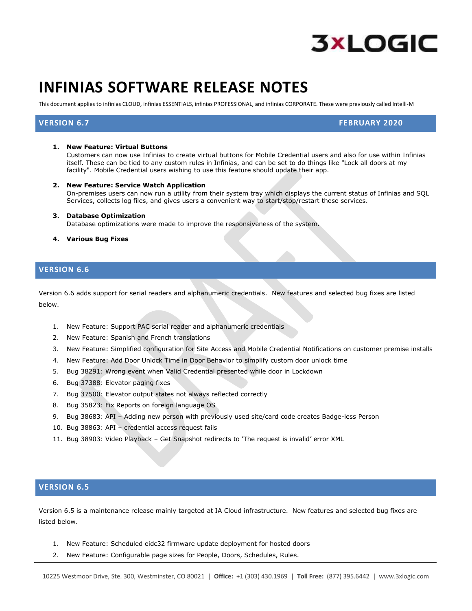

# **INFINIAS SOFTWARE RELEASE NOTES**

This document applies to infinias CLOUD, infinias ESSENTIALS, infinias PROFESSIONAL, and infinias CORPORATE. These were previously called Intelli-M

**VERSION 6.7 FEBRUARY 2020**

#### **1. New Feature: Virtual Buttons**

Customers can now use Infinias to create virtual buttons for Mobile Credential users and also for use within Infinias itself. These can be tied to any custom rules in Infinias, and can be set to do things like "Lock all doors at my facility". Mobile Credential users wishing to use this feature should update their app.

**2. New Feature: Service Watch Application**

On-premises users can now run a utility from their system tray which displays the current status of Infinias and SQL Services, collects log files, and gives users a convenient way to start/stop/restart these services.

- **3. Database Optimization** Database optimizations were made to improve the responsiveness of the system.
- **4. Various Bug Fixes**

#### **VERSION 6.6**

Version 6.6 adds support for serial readers and alphanumeric credentials. New features and selected bug fixes are listed below.

- 1. New Feature: Support PAC serial reader and alphanumeric credentials
- 2. New Feature: Spanish and French translations
- 3. New Feature: Simplified configuration for Site Access and Mobile Credential Notifications on customer premise installs
- 4. New Feature: Add Door Unlock Time in Door Behavior to simplify custom door unlock time
- 5. Bug 38291: Wrong event when Valid Credential presented while door in Lockdown
- 6. Bug [37388:](https://3xlogic.tpondemand.com/RestUI/Board.aspx#page=bug/32365&appConfig=eyJhY2lkIjoiNjVCNTFGOTkwNTZGOEU1NjJEM0FBMTQ4QUEzNDNFOUEifQ==) Elevator paging fixes
- 7. Bug [37500:](https://3xlogic.tpondemand.com/RestUI/Board.aspx#page=bug/32365&appConfig=eyJhY2lkIjoiNjVCNTFGOTkwNTZGOEU1NjJEM0FBMTQ4QUEzNDNFOUEifQ==) Elevator output states not always reflected correctly
- 8. Bug 35823: Fix Reports on foreign language OS
- 9. Bug 38683: API Adding new person with previously used site/card code creates Badge-less Person
- 10. Bug 38863: API credential access request fails
- 11. Bug 38903: Video Playback Get Snapshot redirects to 'The request is invalid' error XML

## **VERSION 6.5**

Version 6.5 is a maintenance release mainly targeted at IA Cloud infrastructure. New features and selected bug fixes are listed below.

- 1. New Feature: Scheduled eidc32 firmware update deployment for hosted doors
- 2. New Feature: Configurable page sizes for People, Doors, Schedules, Rules.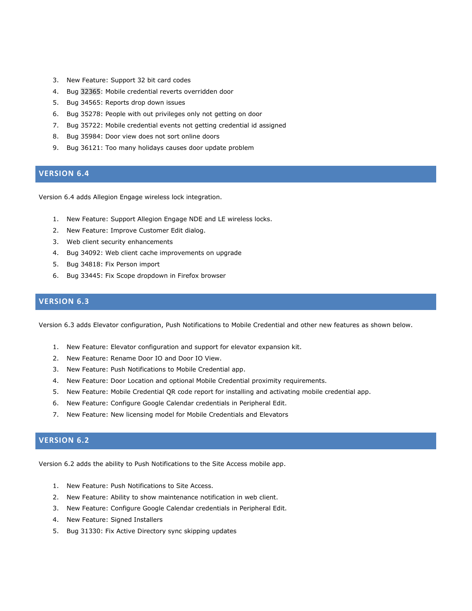- 3. New Feature: Support 32 bit card codes
- 4. Bug [32365:](https://3xlogic.tpondemand.com/RestUI/Board.aspx#page=bug/32365&appConfig=eyJhY2lkIjoiNjVCNTFGOTkwNTZGOEU1NjJEM0FBMTQ4QUEzNDNFOUEifQ==) Mobile credential reverts overridden door
- 5. Bug 34565: Reports drop down issues
- 6. Bug 35278: People with out privileges only not getting on door
- 7. Bug 35722: Mobile credential events not getting credential id assigned
- 8. Bug 35984: Door view does not sort online doors
- 9. Bug 36121: Too many holidays causes door update problem

# **VERSION 6.4**

Version 6.4 adds Allegion Engage wireless lock integration.

- 1. New Feature: Support Allegion Engage NDE and LE wireless locks.
- 2. New Feature: Improve Customer Edit dialog.
- 3. Web client security enhancements
- 4. Bug 34092: Web client cache improvements on upgrade
- 5. Bug 34818: Fix Person import
- 6. Bug 33445: Fix Scope dropdown in Firefox browser

# **VERSION 6.3**

Version 6.3 adds Elevator configuration, Push Notifications to Mobile Credential and other new features as shown below.

- 1. New Feature: Elevator configuration and support for elevator expansion kit.
- 2. New Feature: Rename Door IO and Door IO View.
- 3. New Feature: Push Notifications to Mobile Credential app.
- 4. New Feature: Door Location and optional Mobile Credential proximity requirements.
- 5. New Feature: Mobile Credential QR code report for installing and activating mobile credential app.
- 6. New Feature: Configure Google Calendar credentials in Peripheral Edit.
- 7. New Feature: New licensing model for Mobile Credentials and Elevators

## **VERSION 6.2**

Version 6.2 adds the ability to Push Notifications to the Site Access mobile app.

- 1. New Feature: Push Notifications to Site Access.
- 2. New Feature: Ability to show maintenance notification in web client.
- 3. New Feature: Configure Google Calendar credentials in Peripheral Edit.
- 4. New Feature: Signed Installers
- 5. Bug 31330: Fix Active Directory sync skipping updates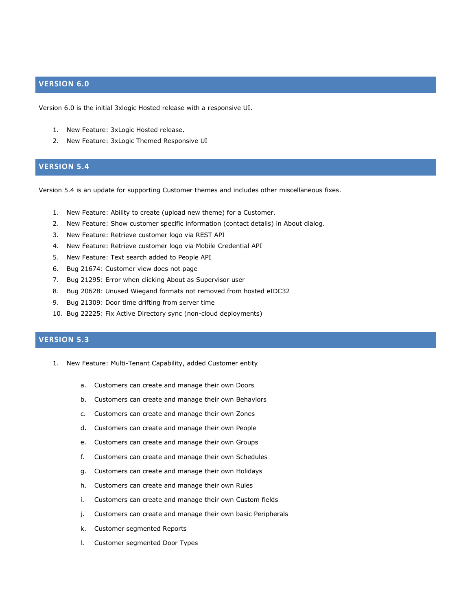#### **VERSION 6.0**

Version 6.0 is the initial 3xlogic Hosted release with a responsive UI.

- 1. New Feature: 3xLogic Hosted release.
- 2. New Feature: 3xLogic Themed Responsive UI

# **VERSION 5.4**

Version 5.4 is an update for supporting Customer themes and includes other miscellaneous fixes.

- 1. New Feature: Ability to create (upload new theme) for a Customer.
- 2. New Feature: Show customer specific information (contact details) in About dialog.
- 3. New Feature: Retrieve customer logo via REST API
- 4. New Feature: Retrieve customer logo via Mobile Credential API
- 5. New Feature: Text search added to People API
- 6. Bug 21674: Customer view does not page
- 7. Bug 21295: Error when clicking About as Supervisor user
- 8. Bug 20628: Unused Wiegand formats not removed from hosted eIDC32
- 9. Bug 21309: Door time drifting from server time
- 10. Bug 22225: Fix Active Directory sync (non-cloud deployments)

# **VERSION 5.3**

- 1. New Feature: Multi-Tenant Capability, added Customer entity
	- a. Customers can create and manage their own Doors
	- b. Customers can create and manage their own Behaviors
	- c. Customers can create and manage their own Zones
	- d. Customers can create and manage their own People
	- e. Customers can create and manage their own Groups
	- f. Customers can create and manage their own Schedules
	- g. Customers can create and manage their own Holidays
	- h. Customers can create and manage their own Rules
	- i. Customers can create and manage their own Custom fields
	- j. Customers can create and manage their own basic Peripherals
	- k. Customer segmented Reports
	- l. Customer segmented Door Types